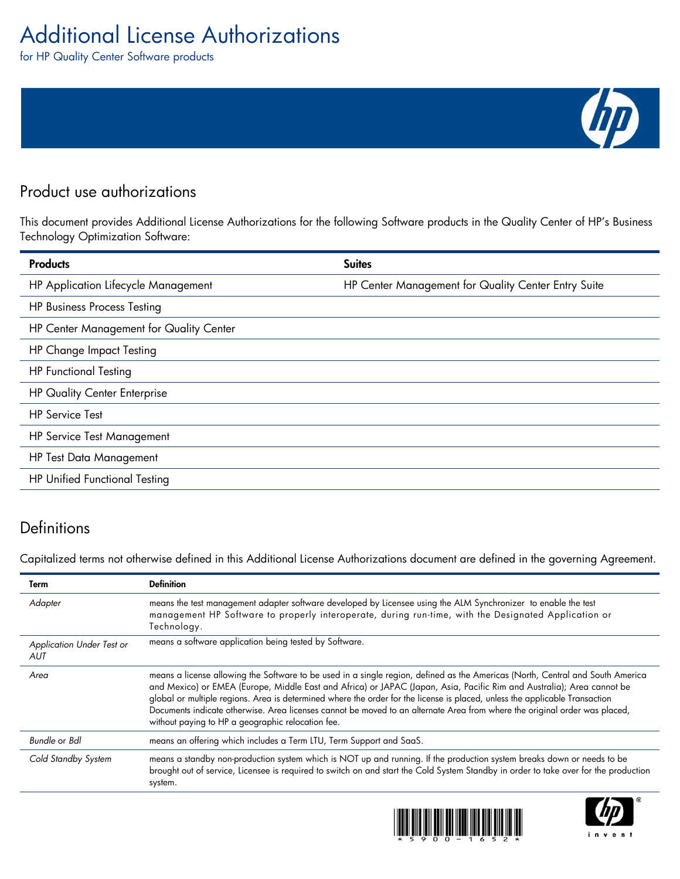# Additional License Authorizations

for HP Quality Center Software products

# Product use authorizations

This document provides Additional License Authorizations for the following Software products in the Quality Center of HP's Business Technology Optimization Software:

| <b>Products</b>                         | <b>Suites</b>                                       |
|-----------------------------------------|-----------------------------------------------------|
| HP Application Lifecycle Management     | HP Center Management for Quality Center Entry Suite |
| <b>HP Business Process Testing</b>      |                                                     |
| HP Center Management for Quality Center |                                                     |
| <b>HP Change Impact Testing</b>         |                                                     |
| <b>HP Functional Testing</b>            |                                                     |
| <b>HP Quality Center Enterprise</b>     |                                                     |
| <b>HP</b> Service Test                  |                                                     |
| <b>HP Service Test Management</b>       |                                                     |
| <b>HP Test Data Management</b>          |                                                     |
| <b>HP Unified Functional Testing</b>    |                                                     |

### **Definitions**

Capitalized terms not otherwise defined in this Additional License Authorizations document are defined in the governing Agreement.

| Term                                    | <b>Definition</b>                                                                                                                                                                                                                                                                                                                                                                                                                                                                                                                                                          |
|-----------------------------------------|----------------------------------------------------------------------------------------------------------------------------------------------------------------------------------------------------------------------------------------------------------------------------------------------------------------------------------------------------------------------------------------------------------------------------------------------------------------------------------------------------------------------------------------------------------------------------|
| Adapter                                 | means the test management adapter software developed by Licensee using the ALM Synchronizer to enable the test<br>management HP Software to properly interoperate, during run-time, with the Designated Application or<br>Technology.                                                                                                                                                                                                                                                                                                                                      |
| <b>Application Under Test or</b><br>AUT | means a software application being tested by Software.                                                                                                                                                                                                                                                                                                                                                                                                                                                                                                                     |
| Area                                    | means a license allowing the Software to be used in a single region, defined as the Americas (North, Central and South America<br>and Mexico) or EMEA (Europe, Middle East and Africa) or JAPAC (Japan, Asia, Pacific Rim and Australia); Area cannot be<br>global or multiple regions. Area is determined where the order for the license is placed, unless the applicable Transaction<br>Documents indicate otherwise. Area licenses cannot be moved to an alternate Area from where the original order was placed,<br>without paying to HP a geographic relocation fee. |
| Bundle or Bdl                           | means an offering which includes a Term LTU, Term Support and SaaS.                                                                                                                                                                                                                                                                                                                                                                                                                                                                                                        |
| Cold Standby System                     | means a standby non-production system which is NOT up and running. If the production system breaks down or needs to be<br>brought out of service, Licensee is required to switch on and start the Cold System Standby in order to take over for the production<br>system.                                                                                                                                                                                                                                                                                                  |





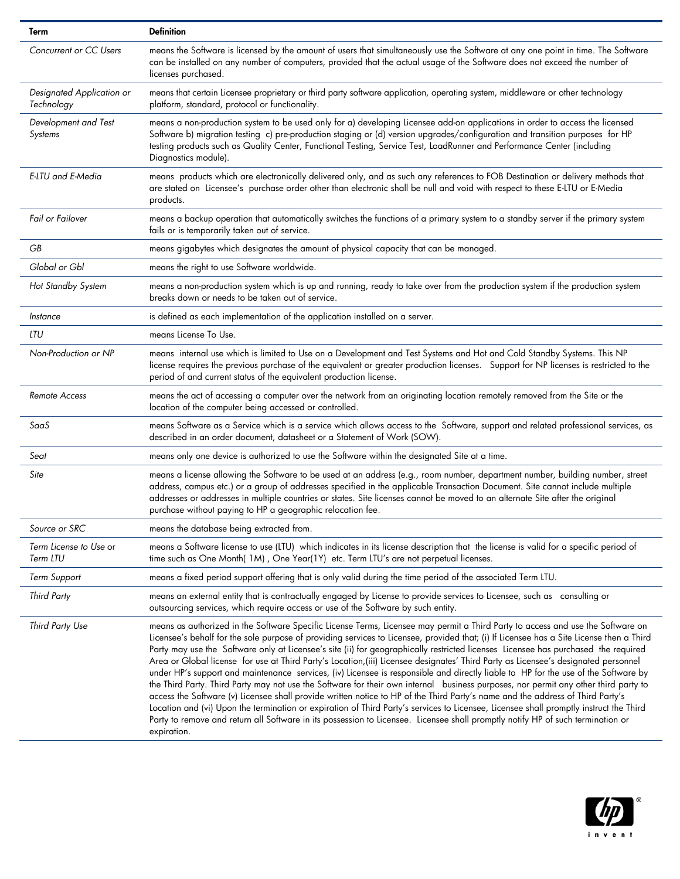| Term                                    | <b>Definition</b>                                                                                                                                                                                                                                                                                                                                                                                                                                                                                                                                                                                                                                                                                                                                                                                                                                                                                                                                                                                                                                                                                                                                                                                                                                                  |
|-----------------------------------------|--------------------------------------------------------------------------------------------------------------------------------------------------------------------------------------------------------------------------------------------------------------------------------------------------------------------------------------------------------------------------------------------------------------------------------------------------------------------------------------------------------------------------------------------------------------------------------------------------------------------------------------------------------------------------------------------------------------------------------------------------------------------------------------------------------------------------------------------------------------------------------------------------------------------------------------------------------------------------------------------------------------------------------------------------------------------------------------------------------------------------------------------------------------------------------------------------------------------------------------------------------------------|
| Concurrent or CC Users                  | means the Software is licensed by the amount of users that simultaneously use the Software at any one point in time. The Software<br>can be installed on any number of computers, provided that the actual usage of the Software does not exceed the number of<br>licenses purchased.                                                                                                                                                                                                                                                                                                                                                                                                                                                                                                                                                                                                                                                                                                                                                                                                                                                                                                                                                                              |
| Designated Application or<br>Technology | means that certain Licensee proprietary or third party software application, operating system, middleware or other technology<br>platform, standard, protocol or functionality.                                                                                                                                                                                                                                                                                                                                                                                                                                                                                                                                                                                                                                                                                                                                                                                                                                                                                                                                                                                                                                                                                    |
| Development and Test<br>Systems         | means a non-production system to be used only for a) developing Licensee add-on applications in order to access the licensed<br>Software b) migration testing c) pre-production staging or (d) version upgrades/configuration and transition purposes for HP<br>testing products such as Quality Center, Functional Testing, Service Test, LoadRunner and Performance Center (including<br>Diagnostics module).                                                                                                                                                                                                                                                                                                                                                                                                                                                                                                                                                                                                                                                                                                                                                                                                                                                    |
| E-LTU and E-Media                       | means products which are electronically delivered only, and as such any references to FOB Destination or delivery methods that<br>are stated on Licensee's purchase order other than electronic shall be null and void with respect to these E-LTU or E-Media<br>products.                                                                                                                                                                                                                                                                                                                                                                                                                                                                                                                                                                                                                                                                                                                                                                                                                                                                                                                                                                                         |
| <b>Fail or Failover</b>                 | means a backup operation that automatically switches the functions of a primary system to a standby server if the primary system<br>fails or is temporarily taken out of service.                                                                                                                                                                                                                                                                                                                                                                                                                                                                                                                                                                                                                                                                                                                                                                                                                                                                                                                                                                                                                                                                                  |
| GB                                      | means gigabytes which designates the amount of physical capacity that can be managed.                                                                                                                                                                                                                                                                                                                                                                                                                                                                                                                                                                                                                                                                                                                                                                                                                                                                                                                                                                                                                                                                                                                                                                              |
| Global or Gbl                           | means the right to use Software worldwide.                                                                                                                                                                                                                                                                                                                                                                                                                                                                                                                                                                                                                                                                                                                                                                                                                                                                                                                                                                                                                                                                                                                                                                                                                         |
| Hot Standby System                      | means a non-production system which is up and running, ready to take over from the production system if the production system<br>breaks down or needs to be taken out of service.                                                                                                                                                                                                                                                                                                                                                                                                                                                                                                                                                                                                                                                                                                                                                                                                                                                                                                                                                                                                                                                                                  |
| Instance                                | is defined as each implementation of the application installed on a server.                                                                                                                                                                                                                                                                                                                                                                                                                                                                                                                                                                                                                                                                                                                                                                                                                                                                                                                                                                                                                                                                                                                                                                                        |
| LTU                                     | means License To Use.                                                                                                                                                                                                                                                                                                                                                                                                                                                                                                                                                                                                                                                                                                                                                                                                                                                                                                                                                                                                                                                                                                                                                                                                                                              |
| Non-Production or NP                    | means internal use which is limited to Use on a Development and Test Systems and Hot and Cold Standby Systems. This NP<br>license requires the previous purchase of the equivalent or greater production licenses. Support for NP licenses is restricted to the<br>period of and current status of the equivalent production license.                                                                                                                                                                                                                                                                                                                                                                                                                                                                                                                                                                                                                                                                                                                                                                                                                                                                                                                              |
| <b>Remote Access</b>                    | means the act of accessing a computer over the network from an originating location remotely removed from the Site or the<br>location of the computer being accessed or controlled.                                                                                                                                                                                                                                                                                                                                                                                                                                                                                                                                                                                                                                                                                                                                                                                                                                                                                                                                                                                                                                                                                |
| SaaS                                    | means Software as a Service which is a service which allows access to the Software, support and related professional services, as<br>described in an order document, datasheet or a Statement of Work (SOW).                                                                                                                                                                                                                                                                                                                                                                                                                                                                                                                                                                                                                                                                                                                                                                                                                                                                                                                                                                                                                                                       |
| Seat                                    | means only one device is authorized to use the Software within the designated Site at a time.                                                                                                                                                                                                                                                                                                                                                                                                                                                                                                                                                                                                                                                                                                                                                                                                                                                                                                                                                                                                                                                                                                                                                                      |
| Site                                    | means a license allowing the Software to be used at an address (e.g., room number, department number, building number, street<br>address, campus etc.) or a group of addresses specified in the applicable Transaction Document. Site cannot include multiple<br>addresses or addresses in multiple countries or states. Site licenses cannot be moved to an alternate Site after the original<br>purchase without paying to HP a geographic relocation fee.                                                                                                                                                                                                                                                                                                                                                                                                                                                                                                                                                                                                                                                                                                                                                                                                       |
| Source or SRC                           | means the database being extracted from.                                                                                                                                                                                                                                                                                                                                                                                                                                                                                                                                                                                                                                                                                                                                                                                                                                                                                                                                                                                                                                                                                                                                                                                                                           |
| Term License to Use or<br>Term LTU      | means a Software license to use (LTU) which indicates in its license description that the license is valid for a specific period of<br>time such as One Month(1M), One Year(1Y) etc. Term LTU's are not perpetual licenses.                                                                                                                                                                                                                                                                                                                                                                                                                                                                                                                                                                                                                                                                                                                                                                                                                                                                                                                                                                                                                                        |
| <b>Term Support</b>                     | means a fixed period support offering that is only valid during the time period of the associated Term LTU.                                                                                                                                                                                                                                                                                                                                                                                                                                                                                                                                                                                                                                                                                                                                                                                                                                                                                                                                                                                                                                                                                                                                                        |
| Third Party                             | means an external entity that is contractually engaged by License to provide services to Licensee, such as consulting or<br>outsourcing services, which require access or use of the Software by such entity.                                                                                                                                                                                                                                                                                                                                                                                                                                                                                                                                                                                                                                                                                                                                                                                                                                                                                                                                                                                                                                                      |
| Third Party Use                         | means as authorized in the Software Specific License Terms, Licensee may permit a Third Party to access and use the Software on<br>Licensee's behalf for the sole purpose of providing services to Licensee, provided that; (i) If Licensee has a Site License then a Third<br>Party may use the Software only at Licensee's site (ii) for geographically restricted licenses Licensee has purchased the required<br>Area or Global license for use at Third Party's Location,(iii) Licensee designates' Third Party as Licensee's designated personnel<br>under HP's support and maintenance services, (iv) Licensee is responsible and directly liable to HP for the use of the Software by<br>the Third Party. Third Party may not use the Software for their own internal business purposes, nor permit any other third party to<br>access the Software (v) Licensee shall provide written notice to HP of the Third Party's name and the address of Third Party's<br>Location and (vi) Upon the termination or expiration of Third Party's services to Licensee, Licensee shall promptly instruct the Third<br>Party to remove and return all Software in its possession to Licensee. Licensee shall promptly notify HP of such termination or<br>expiration. |

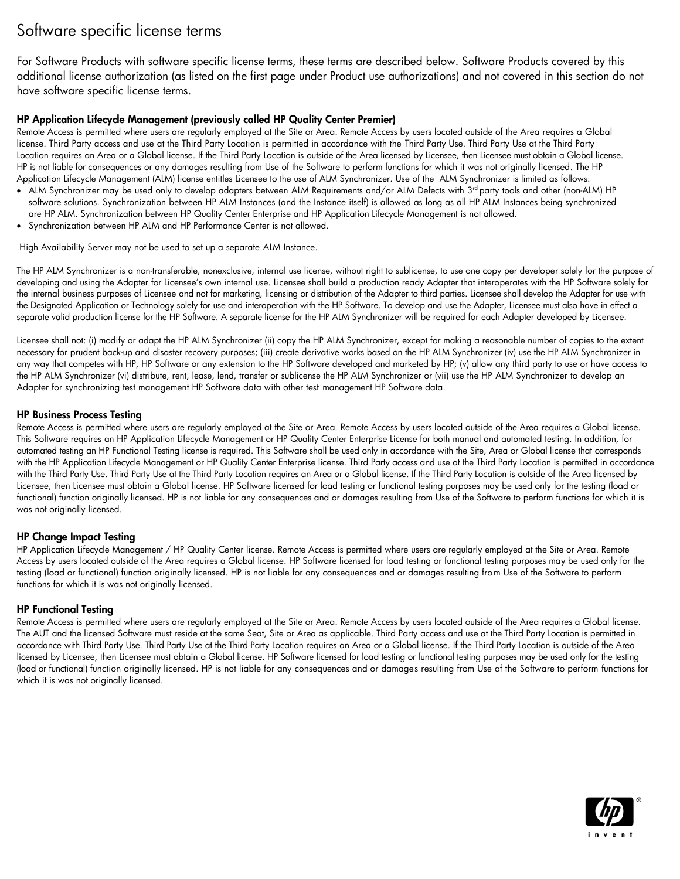# Software specific license terms

For Software Products with software specific license terms, these terms are described below. Software Products covered by this additional license authorization (as listed on the first page under Product use authorizations) and not covered in this section do not have software specific license terms.

### HP Application Lifecycle Management (previously called HP Quality Center Premier)

Remote Access is permitted where users are regularly employed at the Site or Area. Remote Access by users located outside of the Area requires a Global license. Third Party access and use at the Third Party Location is permitted in accordance with the Third Party Use. Third Party Use at the Third Party Location requires an Area or a Global license. If the Third Party Location is outside of the Area licensed by Licensee, then Licensee must obtain a Global license. HP is not liable for consequences or any damages resulting from Use of the Software to perform functions for which it was not originally licensed. The HP Application Lifecycle Management (ALM) license entitles Licensee to the use of ALM Synchronizer. Use of the ALM Synchronizer is limited as follows:

- ALM Synchronizer may be used only to develop adapters between ALM Requirements and/or ALM Defects with 3<sup>rd</sup> party tools and other (non-ALM) HP software solutions. Synchronization between HP ALM Instances (and the Instance itself) is allowed as long as all HP ALM Instances being synchronized are HP ALM. Synchronization between HP Quality Center Enterprise and HP Application Lifecycle Management is not allowed.
- Synchronization between HP ALM and HP Performance Center is not allowed.

High Availability Server may not be used to set up a separate ALM Instance.

The HP ALM Synchronizer is a non-transferable, nonexclusive, internal use license, without right to sublicense, to use one copy per developer solely for the purpose of developing and using the Adapter for Licensee's own internal use. Licensee shall build a production ready Adapter that interoperates with the HP Software solely for the internal business purposes of Licensee and not for marketing, licensing or distribution of the Adapter to third parties. Licensee shall develop the Adapter for use with the Designated Application or Technology solely for use and interoperation with the HP Software. To develop and use the Adapter, Licensee must also have in effect a separate valid production license for the HP Software. A separate license for the HP ALM Synchronizer will be required for each Adapter developed by Licensee.

Licensee shall not: (i) modify or adapt the HP ALM Synchronizer (ii) copy the HP ALM Synchronizer, except for making a reasonable number of copies to the extent necessary for prudent back-up and disaster recovery purposes; (iii) create derivative works based on the HP ALM Synchronizer (iv) use the HP ALM Synchronizer in any way that competes with HP, HP Software or any extension to the HP Software developed and marketed by HP; (v) allow any third party to use or have access to the HP ALM Synchronizer (vi) distribute, rent, lease, lend, transfer or sublicense the HP ALM Synchronizer or (vii) use the HP ALM Synchronizer to develop an Adapter for synchronizing test management HP Software data with other test management HP Software data.

#### HP Business Process Testing

Remote Access is permitted where users are regularly employed at the Site or Area. Remote Access by users located outside of the Area requires a Global license. This Software requires an HP Application Lifecycle Management or HP Quality Center Enterprise License for both manual and automated testing. In addition, for automated testing an HP Functional Testing license is required. This Software shall be used only in accordance with the Site, Area or Global license that corresponds with the HP Application Lifecycle Management or HP Quality Center Enterprise license. Third Party access and use at the Third Party Location is permitted in accordance with the Third Party Use. Third Party Use at the Third Party Location requires an Area or a Global license. If the Third Party Location is outside of the Area licensed by Licensee, then Licensee must obtain a Global license. HP Software licensed for load testing or functional testing purposes may be used only for the testing (load or functional) function originally licensed. HP is not liable for any consequences and or damages resulting from Use of the Software to perform functions for which it is was not originally licensed.

#### HP Change Impact Testing

HP Application Lifecycle Management / HP Quality Center license. Remote Access is permitted where users are regularly employed at the Site or Area. Remote Access by users located outside of the Area requires a Global license. HP Software licensed for load testing or functional testing purposes may be used only for the testing (load or functional) function originally licensed. HP is not liable for any consequences and or damages resulting from Use of the Software to perform functions for which it is was not originally licensed.

#### HP Functional Testing

Remote Access is permitted where users are regularly employed at the Site or Area. Remote Access by users located outside of the Area requires a Global license. The AUT and the licensed Software must reside at the same Seat, Site or Area as applicable. Third Party access and use at the Third Party Location is permitted in accordance with Third Party Use. Third Party Use at the Third Party Location requires an Area or a Global license. If the Third Party Location is outside of the Area licensed by Licensee, then Licensee must obtain a Global license. HP Software licensed for load testing or functional testing purposes may be used only for the testing (load or functional) function originally licensed. HP is not liable for any consequences and or damages resulting from Use of the Software to perform functions for which it is was not originally licensed.

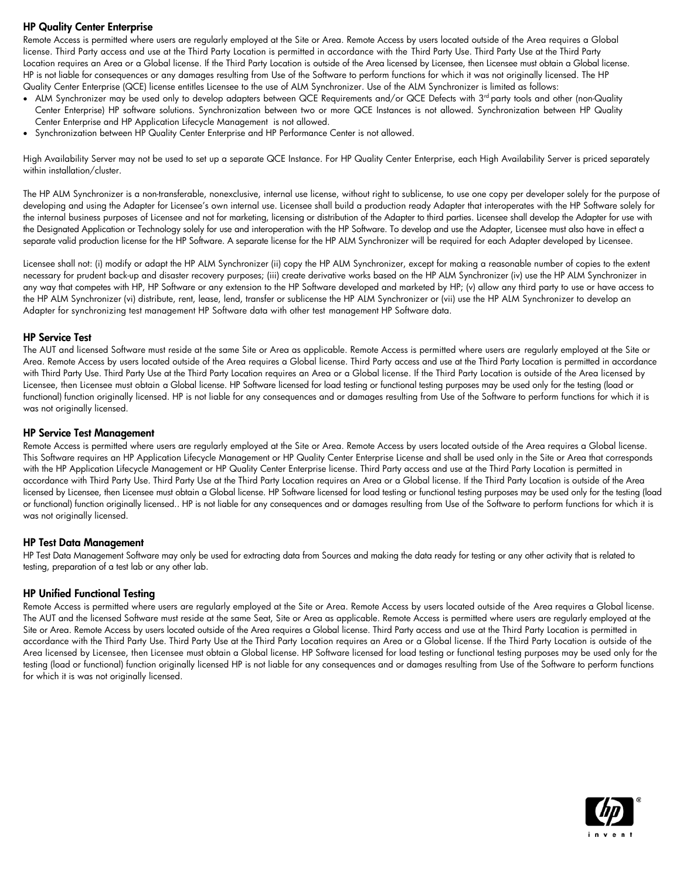#### HP Quality Center Enterprise

Remote Access is permitted where users are regularly employed at the Site or Area. Remote Access by users located outside of the Area requires a Global license. Third Party access and use at the Third Party Location is permitted in accordance with the Third Party Use. Third Party Use at the Third Party Location requires an Area or a Global license. If the Third Party Location is outside of the Area licensed by Licensee, then Licensee must obtain a Global license. HP is not liable for consequences or any damages resulting from Use of the Software to perform functions for which it was not originally licensed. The HP Quality Center Enterprise (QCE) license entitles Licensee to the use of ALM Synchronizer. Use of the ALM Synchronizer is limited as follows:

- ALM Synchronizer may be used only to develop adapters between QCE Requirements and/or QCE Defects with 3<sup>rd</sup> party tools and other (non-Quality Center Enterprise) HP software solutions. Synchronization between two or more QCE Instances is not allowed. Synchronization between HP Quality Center Enterprise and HP Application Lifecycle Management is not allowed.
- Synchronization between HP Quality Center Enterprise and HP Performance Center is not allowed.

High Availability Server may not be used to set up a separate QCE Instance. For HP Quality Center Enterprise, each High Availability Server is priced separately within installation/cluster.

The HP ALM Synchronizer is a non-transferable, nonexclusive, internal use license, without right to sublicense, to use one copy per developer solely for the purpose of developing and using the Adapter for Licensee's own internal use. Licensee shall build a production ready Adapter that interoperates with the HP Software solely for the internal business purposes of Licensee and not for marketing, licensing or distribution of the Adapter to third parties. Licensee shall develop the Adapter for use with the Designated Application or Technology solely for use and interoperation with the HP Software. To develop and use the Adapter, Licensee must also have in effect a separate valid production license for the HP Software. A separate license for the HP ALM Synchronizer will be required for each Adapter developed by Licensee.

Licensee shall not: (i) modify or adapt the HP ALM Synchronizer (ii) copy the HP ALM Synchronizer, except for making a reasonable number of copies to the extent necessary for prudent back-up and disaster recovery purposes; (iii) create derivative works based on the HP ALM Synchronizer (iv) use the HP ALM Synchronizer in any way that competes with HP, HP Software or any extension to the HP Software developed and marketed by HP; (v) allow any third party to use or have access to the HP ALM Synchronizer (vi) distribute, rent, lease, lend, transfer or sublicense the HP ALM Synchronizer or (vii) use the HP ALM Synchronizer to develop an Adapter for synchronizing test management HP Software data with other test management HP Software data.

#### HP Service Test

The AUT and licensed Software must reside at the same Site or Area as applicable. Remote Access is permitted where users are regularly employed at the Site or Area. Remote Access by users located outside of the Area requires a Global license. Third Party access and use at the Third Party Location is permitted in accordance with Third Party Use. Third Party Use at the Third Party Location requires an Area or a Global license. If the Third Party Location is outside of the Area licensed by Licensee, then Licensee must obtain a Global license. HP Software licensed for load testing or functional testing purposes may be used only for the testing (load or functional) function originally licensed. HP is not liable for any consequences and or damages resulting from Use of the Software to perform functions for which it is was not originally licensed.

#### HP Service Test Management

Remote Access is permitted where users are regularly employed at the Site or Area. Remote Access by users located outside of the Area requires a Global license. This Software requires an HP Application Lifecycle Management or HP Quality Center Enterprise License and shall be used only in the Site or Area that corresponds with the HP Application Lifecycle Management or HP Quality Center Enterprise license. Third Party access and use at the Third Party Location is permitted in accordance with Third Party Use. Third Party Use at the Third Party Location requires an Area or a Global license. If the Third Party Location is outside of the Area licensed by Licensee, then Licensee must obtain a Global license. HP Software licensed for load testing or functional testing purposes may be used only for the testing (load or functional) function originally licensed.. HP is not liable for any consequences and or damages resulting from Use of the Software to perform functions for which it is was not originally licensed.

#### HP Test Data Management

HP Test Data Management Software may only be used for extracting data from Sources and making the data ready for testing or any other activity that is related to testing, preparation of a test lab or any other lab.

#### HP Unified Functional Testing

Remote Access is permitted where users are regularly employed at the Site or Area. Remote Access by users located outside of the Area requires a Global license. The AUT and the licensed Software must reside at the same Seat, Site or Area as applicable. Remote Access is permitted where users are regularly employed at the Site or Area. Remote Access by users located outside of the Area requires a Global license. Third Party access and use at the Third Party Location is permitted in accordance with the Third Party Use. Third Party Use at the Third Party Location requires an Area or a Global license. If the Third Party Location is outside of the Area licensed by Licensee, then Licensee must obtain a Global license. HP Software licensed for load testing or functional testing purposes may be used only for the testing (load or functional) function originally licensed HP is not liable for any consequences and or damages resulting from Use of the Software to perform functions for which it is was not originally licensed.